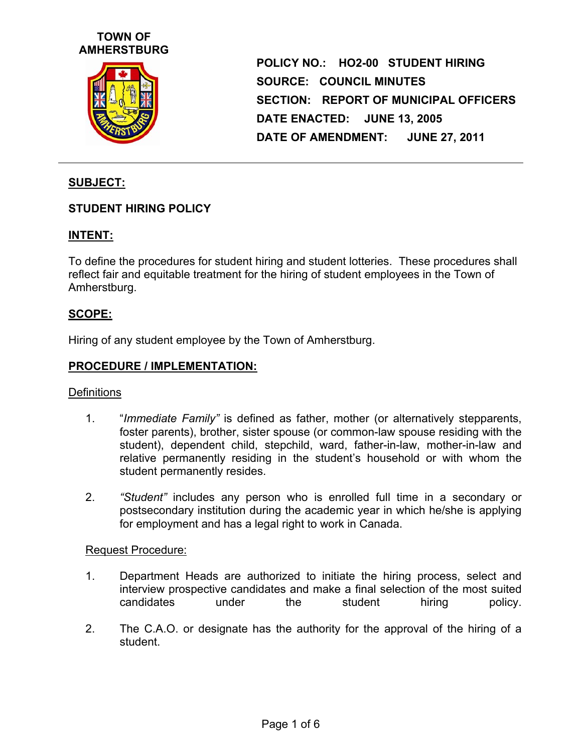# **TOWN OF AMHERSTBURG**



**POLICY NO.: HO2-00 STUDENT HIRING SOURCE: COUNCIL MINUTES SECTION: REPORT OF MUNICIPAL OFFICERS DATE ENACTED: JUNE 13, 2005 DATE OF AMENDMENT: JUNE 27, 2011** 

## **SUBJECT:**

### **STUDENT HIRING POLICY**

## **INTENT:**

To define the procedures for student hiring and student lotteries. These procedures shall reflect fair and equitable treatment for the hiring of student employees in the Town of Amherstburg.

#### **SCOPE:**

Hiring of any student employee by the Town of Amherstburg.

#### **PROCEDURE / IMPLEMENTATION:**

#### **Definitions**

- 1. "*Immediate Family"* is defined as father, mother (or alternatively stepparents, foster parents), brother, sister spouse (or common-law spouse residing with the student), dependent child, stepchild, ward, father-in-law, mother-in-law and relative permanently residing in the student's household or with whom the student permanently resides.
- 2. *"Student"* includes any person who is enrolled full time in a secondary or postsecondary institution during the academic year in which he/she is applying for employment and has a legal right to work in Canada.

#### Request Procedure:

- 1. Department Heads are authorized to initiate the hiring process, select and interview prospective candidates and make a final selection of the most suited candidates under the student hiring policy.
- 2. The C.A.O. or designate has the authority for the approval of the hiring of a student.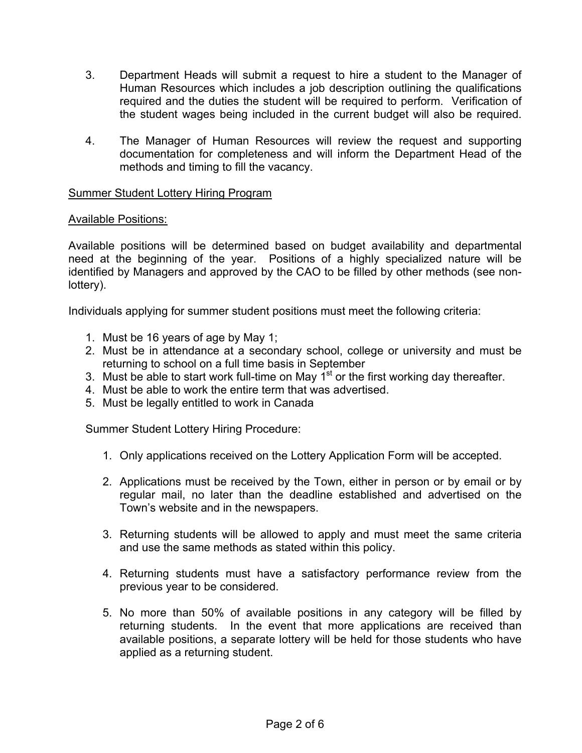- 3. Department Heads will submit a request to hire a student to the Manager of Human Resources which includes a job description outlining the qualifications required and the duties the student will be required to perform. Verification of the student wages being included in the current budget will also be required.
- 4. The Manager of Human Resources will review the request and supporting documentation for completeness and will inform the Department Head of the methods and timing to fill the vacancy.

### Summer Student Lottery Hiring Program

### Available Positions:

Available positions will be determined based on budget availability and departmental need at the beginning of the year. Positions of a highly specialized nature will be identified by Managers and approved by the CAO to be filled by other methods (see nonlottery).

Individuals applying for summer student positions must meet the following criteria:

- 1. Must be 16 years of age by May 1;
- 2. Must be in attendance at a secondary school, college or university and must be returning to school on a full time basis in September
- 3. Must be able to start work full-time on May  $1^{st}$  or the first working day thereafter.
- 4. Must be able to work the entire term that was advertised.
- 5. Must be legally entitled to work in Canada

Summer Student Lottery Hiring Procedure:

- 1. Only applications received on the Lottery Application Form will be accepted.
- 2. Applications must be received by the Town, either in person or by email or by regular mail, no later than the deadline established and advertised on the Town's website and in the newspapers.
- 3. Returning students will be allowed to apply and must meet the same criteria and use the same methods as stated within this policy.
- 4. Returning students must have a satisfactory performance review from the previous year to be considered.
- 5. No more than 50% of available positions in any category will be filled by returning students. In the event that more applications are received than available positions, a separate lottery will be held for those students who have applied as a returning student.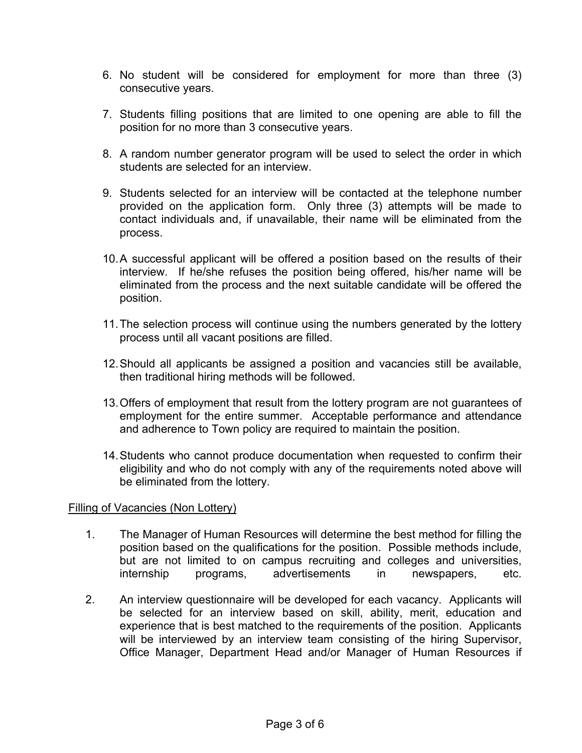- 6. No student will be considered for employment for more than three (3) consecutive years.
- 7. Students filling positions that are limited to one opening are able to fill the position for no more than 3 consecutive years.
- 8. A random number generator program will be used to select the order in which students are selected for an interview.
- 9. Students selected for an interview will be contacted at the telephone number provided on the application form. Only three (3) attempts will be made to contact individuals and, if unavailable, their name will be eliminated from the process.
- 10. A successful applicant will be offered a position based on the results of their interview. If he/she refuses the position being offered, his/her name will be eliminated from the process and the next suitable candidate will be offered the position.
- 11. The selection process will continue using the numbers generated by the lottery process until all vacant positions are filled.
- 12. Should all applicants be assigned a position and vacancies still be available, then traditional hiring methods will be followed.
- 13. Offers of employment that result from the lottery program are not guarantees of employment for the entire summer. Acceptable performance and attendance and adherence to Town policy are required to maintain the position.
- 14. Students who cannot produce documentation when requested to confirm their eligibility and who do not comply with any of the requirements noted above will be eliminated from the lottery.

### Filling of Vacancies (Non Lottery)

- 1. The Manager of Human Resources will determine the best method for filling the position based on the qualifications for the position. Possible methods include, but are not limited to on campus recruiting and colleges and universities, internship programs, advertisements in newspapers, etc.
- 2. An interview questionnaire will be developed for each vacancy. Applicants will be selected for an interview based on skill, ability, merit, education and experience that is best matched to the requirements of the position. Applicants will be interviewed by an interview team consisting of the hiring Supervisor, Office Manager, Department Head and/or Manager of Human Resources if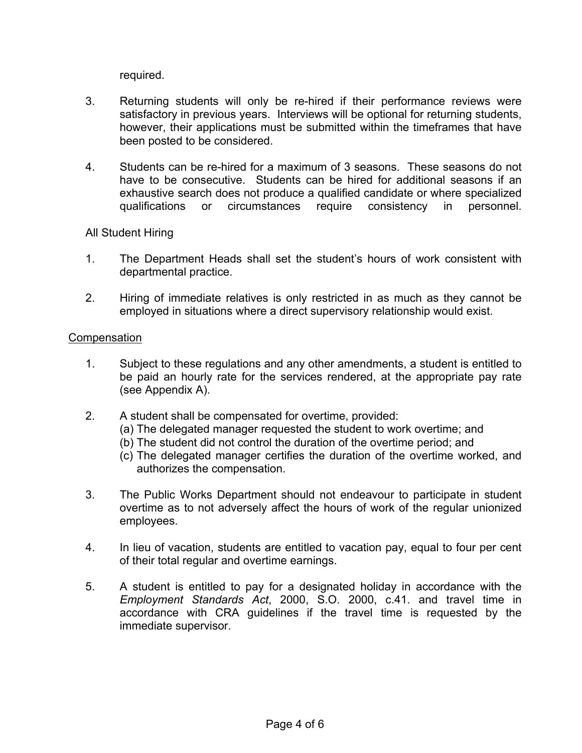required.

- 3. Returning students will only be re-hired if their performance reviews were satisfactory in previous years. Interviews will be optional for returning students, however, their applications must be submitted within the timeframes that have been posted to be considered.
- 4. Students can be re-hired for a maximum of 3 seasons. These seasons do not have to be consecutive. Students can be hired for additional seasons if an exhaustive search does not produce a qualified candidate or where specialized qualifications or circumstances require consistency in personnel.

### All Student Hiring

- 1. The Department Heads shall set the student's hours of work consistent with departmental practice.
- 2. Hiring of immediate relatives is only restricted in as much as they cannot be employed in situations where a direct supervisory relationship would exist.

#### Compensation

- 1. Subject to these regulations and any other amendments, a student is entitled to be paid an hourly rate for the services rendered, at the appropriate pay rate (see Appendix A).
- 2. A student shall be compensated for overtime, provided:
	- (a) The delegated manager requested the student to work overtime; and
	- (b) The student did not control the duration of the overtime period; and
	- (c) The delegated manager certifies the duration of the overtime worked, and authorizes the compensation.
- 3. The Public Works Department should not endeavour to participate in student overtime as to not adversely affect the hours of work of the regular unionized employees.
- 4. In lieu of vacation, students are entitled to vacation pay, equal to four per cent of their total regular and overtime earnings.
- 5. A student is entitled to pay for a designated holiday in accordance with the *Employment Standards Act*, 2000, S.O. 2000, c.41. and travel time in accordance with CRA guidelines if the travel time is requested by the immediate supervisor.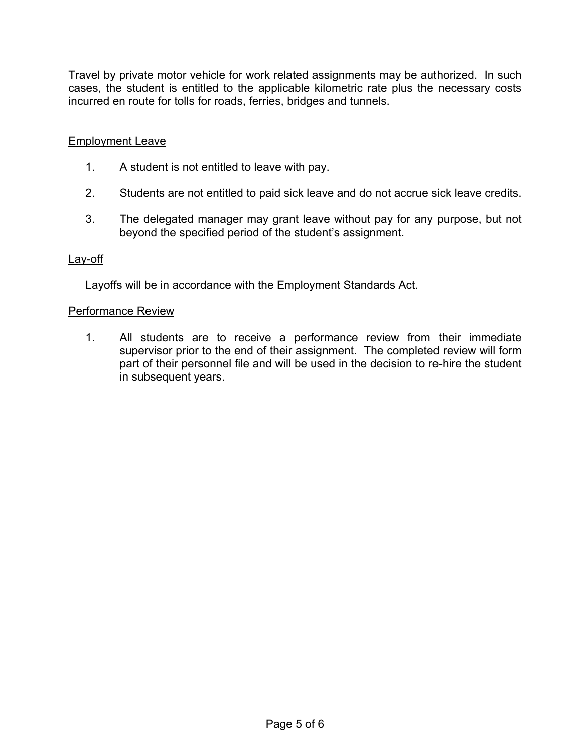Travel by private motor vehicle for work related assignments may be authorized. In such cases, the student is entitled to the applicable kilometric rate plus the necessary costs incurred en route for tolls for roads, ferries, bridges and tunnels.

# Employment Leave

- 1. A student is not entitled to leave with pay.
- 2. Students are not entitled to paid sick leave and do not accrue sick leave credits.
- 3. The delegated manager may grant leave without pay for any purpose, but not beyond the specified period of the student's assignment.

### Lay-off

Layoffs will be in accordance with the Employment Standards Act.

#### Performance Review

1. All students are to receive a performance review from their immediate supervisor prior to the end of their assignment. The completed review will form part of their personnel file and will be used in the decision to re-hire the student in subsequent years.